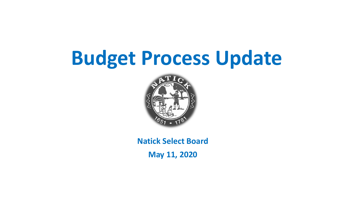## **Budget Process Update**



**Natick Select Board**

**May 11, 2020**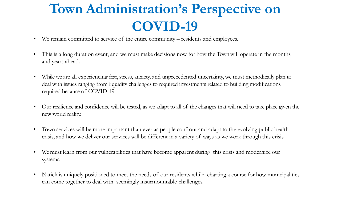#### **Town Administration's Perspective on COVID-19**

- We remain committed to service of the entire community residents and employees.
- This is a long duration event, and we must make decisions now for how the Town will operate in the months and years ahead.
- Whilewe are all experiencing fear, stress, anxiety, and unprecedented uncertainty, we must methodically plan to deal with issues ranging from liquidity challenges to required investments related to building modifications required because of COVID-19.
- Our resilience and confidence will be tested, as we adapt to all of the changes that will need to take place given the new world reality.
- Town services will be more important than ever as people confront and adapt to the evolving public health crisis, and how we deliver our services will be different in a variety of ways as we work through this crisis.
- We must learn from our vulnerabilities that have become apparent during this crisis and modernize our systems.
- Natick is uniquely positioned to meet the needs of our residents while charting a course for how municipalities can come together to deal with seemingly insurmountable challenges.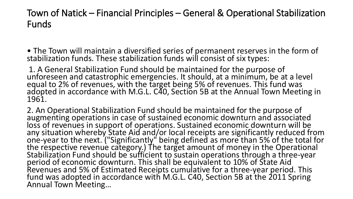Town of Natick – Financial Principles – General & Operational Stabilization Funds

• The Town will maintain a diversified series of permanent reserves in the form of stabilization funds. These stabilization funds will consist of six types:

1. A General Stabilization Fund should be maintained for the purpose of unforeseen and catastrophic emergencies. It should, at a minimum, be at a level equal to 2% of revenues, with the target being 5% of revenues. This fund was adopted in accordance with M.G.L. C40, Section 5B at the Annual Town Meeting in 1961.

2. An Operational Stabilization Fund should be maintained for the purpose of augmenting operations in case of sustained economic downturn and associated loss of revenues in support of operations. Sustained economic downturn will be any situation whereby State Aid and/or local receipts are significantly reduced from one-year to the next. ("Significantly" being defined as more than 5% of the total for<br>the respective revenue category.) The target amount of money in the Operational Stabilization Fund should be sufficient to sustain operations through a three-year<br>period of economic downturn. This shall be equivalent to 10% of State Aid period of economic downturn. This shall be equivalent to 10% of State Aid<br>Revenues and 5% of Estimated Receipts cumulative for a three-year period. This<br>fund was adopted in accordance with M.G.L. C40, Section 5B at the 201 Annual Town Meeting…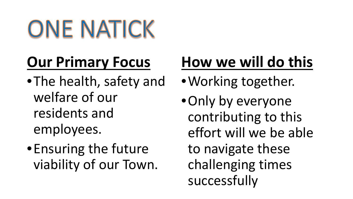ONE NATICK

## **Our Primary Focus**

- •The health, safety and welfare of our residents and employees.
- •Ensuring the future viability of our Town.

### **How we will do this**

- •Working together.
- •Only by everyone contributing to this effort will we be able to navigate these challenging times successfully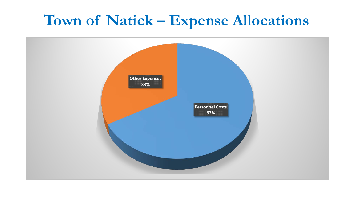#### **Town of Natick – Expense Allocations**

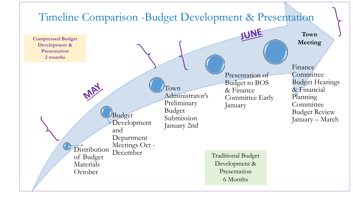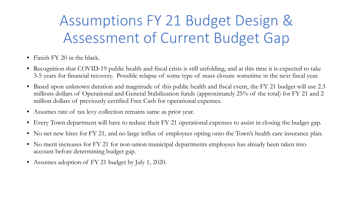### Assumptions FY 21 Budget Design & Assessment of Current Budget Gap

- Finish FY 20 in the black.
- Recognition that COVID-19 public health and fiscal crisis is still unfolding, and at this time it is expected to take 3-5 years for financial recovery. Possible relapse of some type of mass closure sometime in the next fiscal year.
- Based upon unknown duration and magnitude of this public health and fiscal event, the FY 21 budget will use 2.3 millions dollars of Operational and General Stabilization funds (approximately 25% of the total) for FY 21 and 2 million dollars of previously certified Free Cash for operational expenses.
- Assumes rate of tax levy collection remains same as prior year.
- Every Town department will have to reduce their FY 21 operational expenses to assist in closing the budget gap.
- No net new hires for FY 21, and no large influx of employees opting onto the Town's health care insurance plan.
- No merit increases for FY 21 for non-union municipal departments employees has already been taken into account before determining budget gap.
- Assumes adoption of FY 21 budget by July 1, 2020.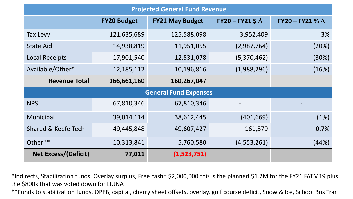| <b>Projected General Fund Revenue</b> |                    |                        |                           |                        |  |
|---------------------------------------|--------------------|------------------------|---------------------------|------------------------|--|
|                                       | <b>FY20 Budget</b> | <b>FY21 May Budget</b> | $FY20 - FY21$ \$ $\Delta$ | FY20 - FY21 % $\Delta$ |  |
| Tax Levy                              | 121,635,689        | 125,588,098            | 3,952,409                 | 3%                     |  |
| <b>State Aid</b>                      | 14,938,819         | 11,951,055             | (2,987,764)               | (20%)                  |  |
| <b>Local Receipts</b>                 | 17,901,540         | 12,531,078             | (5,370,462)               | (30%)                  |  |
| Available/Other*                      | 12, 185, 112       | 10,196,816             | (1,988,296)               | (16%)                  |  |
| <b>Revenue Total</b>                  | 166,661,160        | 160,267,047            |                           |                        |  |
| <b>General Fund Expenses</b>          |                    |                        |                           |                        |  |
| <b>NPS</b>                            | 67,810,346         | 67,810,346             |                           |                        |  |
| Municipal                             | 39,014,114         | 38,612,445             | (401, 669)                | (1%)                   |  |
| <b>Shared &amp; Keefe Tech</b>        | 49,445,848         | 49,607,427             | 161,579                   | 0.7%                   |  |
| Other**                               | 10,313,841         | 5,760,580              | (4, 553, 261)             | (44%)                  |  |
| <b>Net Excess/(Deficit)</b>           | 77,011             | (1,523,751)            |                           |                        |  |

\*Indirects, Stabilization funds, Overlay surplus, Free cash= \$2,000,000 this is the planned \$1.2M for the FY21 FATM19 plus the \$800k that was voted down for LIUNA

\*\*Funds to stabilization funds, OPEB, capital, cherry sheet offsets, overlay, golf course deficit, Snow & Ice, School Bus Tran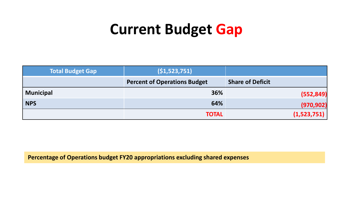#### **Current Budget Gap**

| <b>Total Budget Gap</b> | (51, 523, 751)                      |                         |
|-------------------------|-------------------------------------|-------------------------|
|                         | <b>Percent of Operations Budget</b> | <b>Share of Deficit</b> |
| <b>Municipal</b>        | 36%                                 | (552, 849)              |
| <b>NPS</b>              | 64%                                 | (970, 902)              |
|                         | <b>TOTAL</b>                        | (1,523,751)             |

**Percentage of Operations budget FY20 appropriations excluding shared expenses**